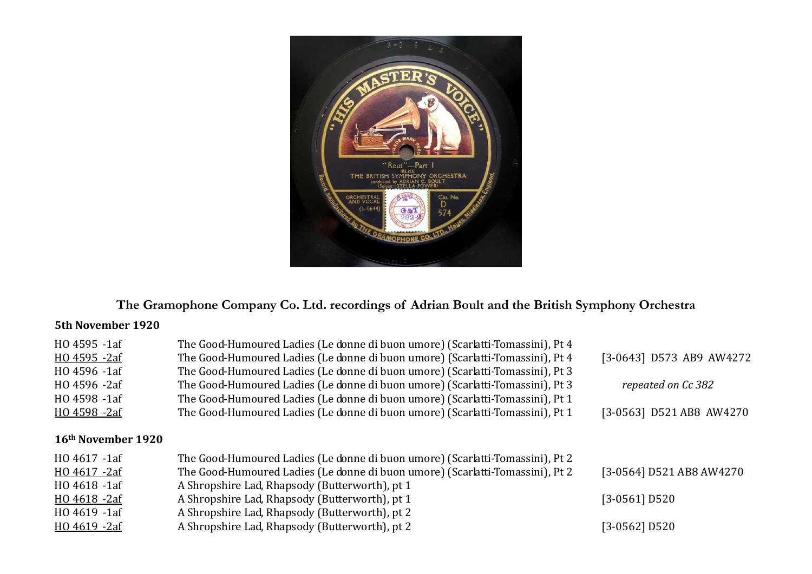

# **The Gramophone Company Co. Ltd. recordings of Adrian Boult and the British Symphony Orchestra**

#### **5th November 1920**

| HO 4595 -1af                   | The Good-Humoured Ladies (Le donne di buon umore) (Scarlatti-Tomassini), Pt 4 |                          |
|--------------------------------|-------------------------------------------------------------------------------|--------------------------|
| HO 4595 -2af                   | The Good-Humoured Ladies (Le donne di buon umore) (Scarlatti-Tomassini), Pt 4 | [3-0643] D573 AB9 AW4272 |
| HO 4596 -1af                   | The Good-Humoured Ladies (Le donne di buon umore) (Scarlatti-Tomassini), Pt 3 |                          |
| HO 4596 -2af                   | The Good-Humoured Ladies (Le donne di buon umore) (Scarlatti-Tomassini), Pt 3 | repeated on Cc 382       |
| HO 4598 -1af                   | The Good-Humoured Ladies (Le donne di buon umore) (Scarlatti-Tomassini), Pt 1 |                          |
| HO 4598 -2af                   | The Good-Humoured Ladies (Le donne di buon umore) (Scarlatti-Tomassini), Pt 1 | [3-0563] D521 AB8 AW4270 |
| 16 <sup>th</sup> November 1920 |                                                                               |                          |
| HO 4617 -1af                   | The Good-Humoured Ladies (Le donne di buon umore) (Scarlatti-Tomassini), Pt 2 |                          |
| HO 4617 -2af                   | The Good-Humoured Ladies (Le donne di buon umore) (Scarlatti-Tomassini), Pt 2 | [3-0564] D521 AB8 AW4270 |
| HO 4618 -1af                   | A Shropshire Lad, Rhapsody (Butterworth), pt 1                                |                          |
| HO 4618 -2af                   | A Shropshire Lad, Rhapsody (Butterworth), pt 1                                | $[3-0561]$ D520          |
| HO 4619 -1af                   | A Shropshire Lad, Rhapsody (Butterworth), pt 2                                |                          |
| HO 4619 -2af                   | A Shropshire Lad, Rhapsody (Butterworth), pt 2                                | [3-0562] D520            |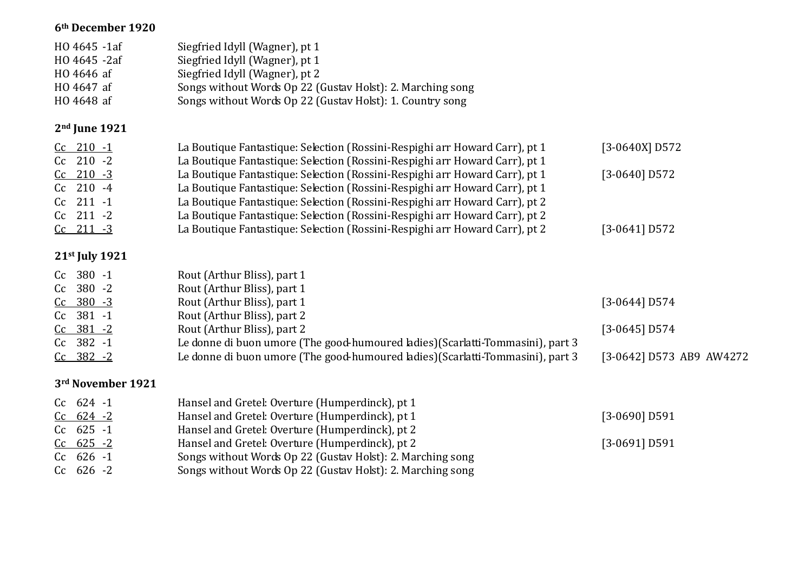#### **6th December 1920**

| HO 4645 -1af<br>HO 4645 -2af<br>HO 4646 af<br>HO 4647 af<br>HO 4648 af | Siegfried Idyll (Wagner), pt 1<br>Siegfried Idyll (Wagner), pt 1<br>Siegfried Idyll (Wagner), pt 2<br>Songs without Words Op 22 (Gustav Holst): 2. Marching song<br>Songs without Words Op 22 (Gustav Holst): 1. Country song             |                          |
|------------------------------------------------------------------------|-------------------------------------------------------------------------------------------------------------------------------------------------------------------------------------------------------------------------------------------|--------------------------|
| $2nd$ June 1921                                                        |                                                                                                                                                                                                                                           |                          |
| $Cc$ 210 $-1$<br>$Cc$ 210 -2                                           | La Boutique Fantastique: Selection (Rossini-Respighi arr Howard Carr), pt 1<br>La Boutique Fantastique: Selection (Rossini-Respighi arr Howard Carr), pt 1                                                                                | $[3-0640X]$ D572         |
| $Cc$ 210 $-3$<br>$Cc$ 210 -4<br>Cc 211 -1                              | La Boutique Fantastique: Selection (Rossini-Respighi arr Howard Carr), pt 1<br>La Boutique Fantastique: Selection (Rossini-Respighi arr Howard Carr), pt 1<br>La Boutique Fantastique: Selection (Rossini-Respighi arr Howard Carr), pt 2 | $[3-0640]$ D572          |
| Cc 211 -2<br>$Cc$ 211 -3                                               | La Boutique Fantastique: Selection (Rossini-Respighi arr Howard Carr), pt 2<br>La Boutique Fantastique: Selection (Rossini-Respighi arr Howard Carr), pt 2                                                                                | $[3-0641]$ D572          |
| 21 <sup>st</sup> July 1921                                             |                                                                                                                                                                                                                                           |                          |
| Cc 380 -1<br>Cc 380 -2                                                 | Rout (Arthur Bliss), part 1                                                                                                                                                                                                               |                          |
| Cc 380 -3<br>Cc 381 -1                                                 | Rout (Arthur Bliss), part 1<br>Rout (Arthur Bliss), part 1<br>Rout (Arthur Bliss), part 2                                                                                                                                                 | $[3-0644]$ D574          |
| $Cc$ 381 -2                                                            | Rout (Arthur Bliss), part 2                                                                                                                                                                                                               | $[3-0645]$ D574          |
| Cc 382 -1<br>$Cc$ 382 -2                                               | Le donne di buon umore (The good-humoured ladies) (Scarlatti-Tommasini), part 3<br>Le donne di buon umore (The good-humoured ladies) (Scarlatti-Tommasini), part 3                                                                        | [3-0642] D573 AB9 AW4272 |
| 3rd November 1921                                                      |                                                                                                                                                                                                                                           |                          |
| $Cc$ 624 -1<br>$Cc$ 624 -2<br>$Cc$ 625 -1                              | Hansel and Gretel: Overture (Humperdinck), pt 1<br>Hansel and Gretel: Overture (Humperdinck), pt 1<br>Hansel and Gretel: Overture (Humperdinck), pt 2                                                                                     | $[3-0690]$ D591          |
| $Cc$ 625 -2                                                            | Hansel and Gretel: Overture (Humperdinck), pt 2                                                                                                                                                                                           | $[3-0691]$ D591          |

- Cc 626 -1 Songs without Words Op 22 (Gustav Holst): 2. Marching song
- Cc 626 -2 Songs without Words Op 22 (Gustav Holst): 2. Marching song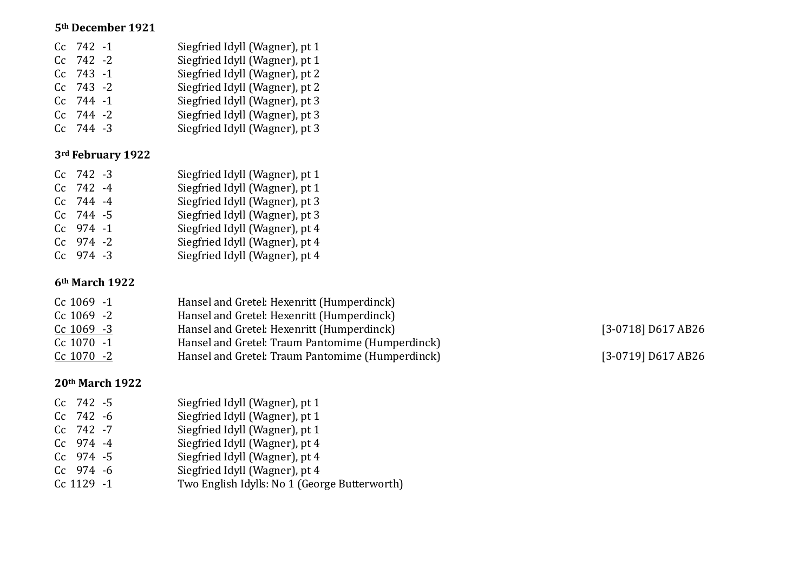#### **5th December 1921**

| $Cc$ 742 -1 | Siegfried Idyll (Wagner), pt 1 |
|-------------|--------------------------------|
| Cc 742 -2   | Siegfried Idyll (Wagner), pt 1 |
| $Cc$ 743 -1 | Siegfried Idyll (Wagner), pt 2 |
| $Cc$ 743 -2 | Siegfried Idyll (Wagner), pt 2 |
| $Cc$ 744 -1 | Siegfried Idyll (Wagner), pt 3 |
| $Cc$ 744 -2 | Siegfried Idyll (Wagner), pt 3 |
| $Cc$ 744 -3 | Siegfried Idyll (Wagner), pt 3 |
|             |                                |

### **3rd February 1922**

| $Cc$ 742 -3 | Siegfried Idyll (Wagner), pt 1 |
|-------------|--------------------------------|
| $Cc$ 742 -4 | Siegfried Idyll (Wagner), pt 1 |
| $Cc$ 744 -4 | Siegfried Idyll (Wagner), pt 3 |
| $Cc$ 744 -5 | Siegfried Idyll (Wagner), pt 3 |
| $Cc$ 974 -1 | Siegfried Idyll (Wagner), pt 4 |
| $Cc$ 974 -2 | Siegfried Idyll (Wagner), pt 4 |
| $Cc$ 974 -3 | Siegfried Idyll (Wagner), pt 4 |
|             |                                |

## **6th March 1922**

| Hansel and Gretel: Hexenritt (Humperdinck)       |
|--------------------------------------------------|
| Hansel and Gretel: Hexenritt (Humperdinck)       |
| Hansel and Gretel: Hexenritt (Humperdinck)       |
| Hansel and Gretel: Traum Pantomime (Humperdinck) |
| Hansel and Gretel: Traum Pantomime (Humperdinck) |
|                                                  |

[3-0718] D617 AB26  $\overline{C}(3-0719)$  D617 AB26

## **20th March 1922**

| Cc 742 -5   | Siegfried Idyll (Wagner), pt 1                |
|-------------|-----------------------------------------------|
| $Cc$ 742 -6 | Siegfried Idyll (Wagner), pt 1                |
| Cc 742 -7   | Siegfried Idyll (Wagner), pt 1                |
| Cc 974 -4   | Siegfried Idyll (Wagner), pt 4                |
| $Cc$ 974 -5 | Siegfried Idyll (Wagner), pt 4                |
| Cc 974 -6   | Siegfried Idyll (Wagner), pt 4                |
| Cc 1129 -1  | Two English Idylls: No 1 (George Butterworth) |
|             |                                               |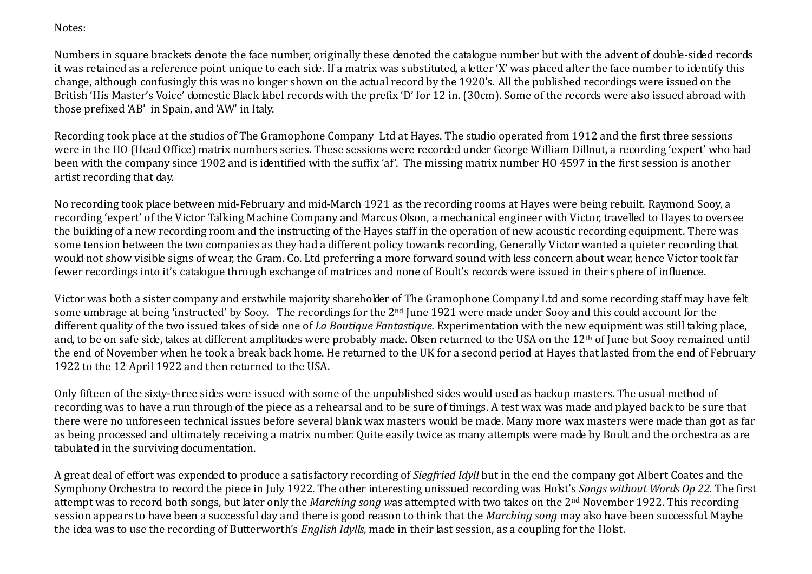Notes:

Numbers in square brackets denote the face number, originally these denoted the catalogue number but with the advent of double-sided records it was retained as a reference point unique to each side. If a matrix was substituted, a letter 'X' was placed after the face number to identify this change, although confusingly this was no longer shown on the actual record by the 1920's. All the published recordings were issued on the British 'His Master's Voice' domestic Black label records with the prefix 'D' for 12 in. (30cm). Some of the records were also issued abroad with those prefixed 'AB' in Spain, and 'AW' in Italy.

Recording took place at the studios of The Gramophone Company Ltd at Hayes. The studio operated from 1912 and the first three sessions were in the HO (Head Office) matrix numbers series. These sessions were recorded under George William Dillnut, a recording 'expert' who had been with the company since 1902 and is identified with the suffix 'af'. The missing matrix number HO 4597 in the first session is another artist recording that day.

No recording took place between mid-February and mid-March 1921 as the recording rooms at Hayes were being rebuilt. Raymond Sooy, a recording 'expert' of the Victor Talking Machine Company and Marcus Olson, a mechanical engineer with Victor, travelled to Hayes to oversee the building of a new recording room and the instructing of the Hayes staff in the operation of new acoustic recording equipment. There was some tension between the two companies as they had a different policy towards recording, Generally Victor wanted a quieter recording that would not show visible signs of wear, the Gram. Co. Ltd preferring a more forward sound with less concern about wear, hence Victor took far fewer recordings into it's catalogue through exchange of matrices and none of Boult's records were issued in their sphere of influence.

Victor was both a sister company and erstwhile majority shareholder of The Gramophone Company Ltd and some recording staff may have felt some umbrage at being 'instructed' by Sooy. The recordings for the 2<sup>nd</sup> June 1921 were made under Sooy and this could account for the different quality of the two issued takes of side one of *La Boutique Fantastique.* Experimentation with the new equipment was still taking place, and, to be on safe side, takes at different amplitudes were probably made. Olsen returned to the USA on the 12<sup>th</sup> of June but Sooy remained until the end of November when he took a break back home. He returned to the UK for a second period at Hayes that lasted from the end of February 1922 to the 12 April 1922 and then returned to the USA.

Only fifteen of the sixty-three sides were issued with some of the unpublished sides would used as backup masters. The usual method of recording was to have a run through of the piece as a rehearsal and to be sure of timings. A test wax was made and played back to be sure that there were no unforeseen technical issues before several blank wax masters would be made. Many more wax masters were made than got as far as being processed and ultimately receiving a matrix number. Quite easily twice as many attempts were made by Boult and the orchestra as are tabulated in the surviving documentation.

A great deal of effort was expended to produce a satisfactory recording of *Siegfried Idyll* but in the end the company got Albert Coates and the Symphony Orchestra to record the piece in July 1922. The other interesting unissued recording was Holst's *Songs without Words Op 22.* The first attempt was to record both songs, but later only the *Marching song w*as attempted with two takes on the 2nd November 1922. This recording session appears to have been a successful day and there is good reason to think that the *Marching song* may also have been successful. Maybe the idea was to use the recording of Butterworth's *English Idylls,* made in their last session, as a coupling for the Holst.